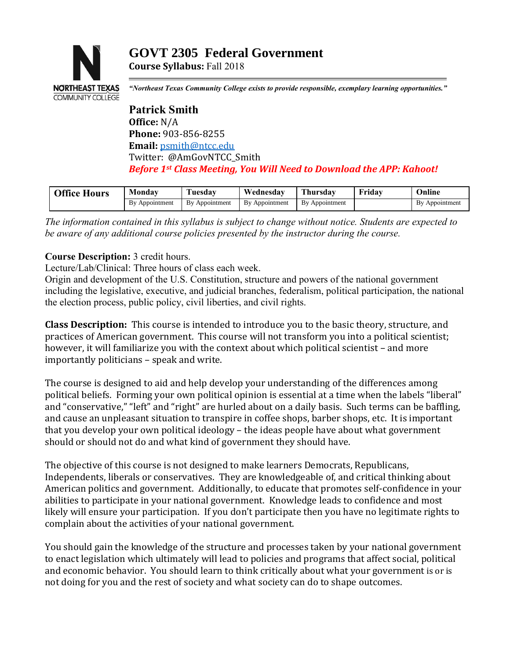# **GOVT 2305 Federal Government Course Syllabus:** Fall 2018



*"Northeast Texas Community College exists to provide responsible, exemplary learning opportunities."*

**Patrick Smith Office:** N/A **Phone:** 903-856-8255 **Email:** [psmith@ntcc.edu](mailto:psmith@ntcc.edu) Twitter: @AmGovNTCC\_Smith *Before 1st Class Meeting, You Will Need to Download the APP: Kahoot!*

| <b>Office Hours</b> | Monday            | <b>Tuesdav</b>     | Wednesdav         | hursdav           | Fridav | Jnline                               |
|---------------------|-------------------|--------------------|-------------------|-------------------|--------|--------------------------------------|
|                     | Bv<br>Appointment | Appointment<br>Bv. | Bv<br>Appointment | Bv<br>Appointment |        | <b>B</b> <sub>V</sub><br>Appointment |

*The information contained in this syllabus is subject to change without notice. Students are expected to be aware of any additional course policies presented by the instructor during the course.*

## **Course Description:** 3 credit hours.

Lecture/Lab/Clinical: Three hours of class each week.

Origin and development of the U.S. Constitution, structure and powers of the national government including the legislative, executive, and judicial branches, federalism, political participation, the national the election process, public policy, civil liberties, and civil rights.

**Class Description:** This course is intended to introduce you to the basic theory, structure, and practices of American government. This course will not transform you into a political scientist; however, it will familiarize you with the context about which political scientist – and more importantly politicians – speak and write.

The course is designed to aid and help develop your understanding of the differences among political beliefs. Forming your own political opinion is essential at a time when the labels "liberal" and "conservative," "left" and "right" are hurled about on a daily basis. Such terms can be baffling, and cause an unpleasant situation to transpire in coffee shops, barber shops, etc. It is important that you develop your own political ideology – the ideas people have about what government should or should not do and what kind of government they should have.

The objective of this course is not designed to make learners Democrats, Republicans, Independents, liberals or conservatives. They are knowledgeable of, and critical thinking about American politics and government. Additionally, to educate that promotes self-confidence in your abilities to participate in your national government. Knowledge leads to confidence and most likely will ensure your participation. If you don't participate then you have no legitimate rights to complain about the activities of your national government.

You should gain the knowledge of the structure and processes taken by your national government to enact legislation which ultimately will lead to policies and programs that affect social, political and economic behavior. You should learn to think critically about what your government is or is not doing for you and the rest of society and what society can do to shape outcomes.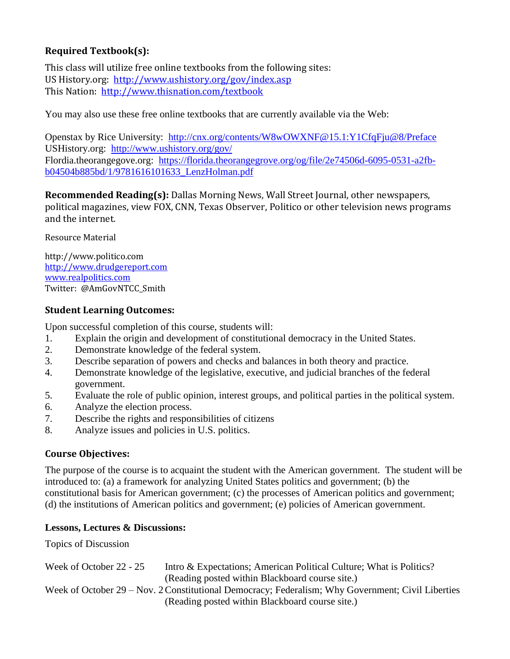# **Required Textbook(s):**

This class will utilize free online textbooks from the following sites: US History.org: <http://www.ushistory.org/gov/index.asp> This Nation: <http://www.thisnation.com/textbook>

You may also use these free online textbooks that are currently available via the Web:

Openstax by Rice University: <http://cnx.org/contents/W8wOWXNF@15.1:Y1CfqFju@8/Preface> USHistory.org: <http://www.ushistory.org/gov/> Flordia.theorangegove.org: [https://florida.theorangegrove.org/og/file/2e74506d-6095-0531-a2fb](https://florida.theorangegrove.org/og/file/2e74506d-6095-0531-a2fb-b04504b885bd/1/9781616101633_LenzHolman.pdf)[b04504b885bd/1/9781616101633\\_LenzHolman.pdf](https://florida.theorangegrove.org/og/file/2e74506d-6095-0531-a2fb-b04504b885bd/1/9781616101633_LenzHolman.pdf)

**Recommended Reading(s):** Dallas Morning News, Wall Street Journal, other newspapers, political magazines, view FOX, CNN, Texas Observer, Politico or other television news programs and the internet.

Resource Material

http://www.politico.com [http://www.drudgereport.com](http://www.drudgereport.com/) [www.realpolitics.com](http://www.realpolitics.com/) Twitter: @AmGovNTCC\_Smith

### **Student Learning Outcomes:**

Upon successful completion of this course, students will:

- 1. Explain the origin and development of constitutional democracy in the United States.
- 2. Demonstrate knowledge of the federal system.
- 3. Describe separation of powers and checks and balances in both theory and practice.
- 4. Demonstrate knowledge of the legislative, executive, and judicial branches of the federal government.
- 5. Evaluate the role of public opinion, interest groups, and political parties in the political system.
- 6. Analyze the election process.
- 7. Describe the rights and responsibilities of citizens
- 8. Analyze issues and policies in U.S. politics.

### **Course Objectives:**

The purpose of the course is to acquaint the student with the American government. The student will be introduced to: (a) a framework for analyzing United States politics and government; (b) the constitutional basis for American government; (c) the processes of American politics and government; (d) the institutions of American politics and government; (e) policies of American government.

### **Lessons, Lectures & Discussions:**

Topics of Discussion

Week of October 22 - 25 Intro & Expectations; American Political Culture; What is Politics? (Reading posted within Blackboard course site.) Week of October 29 – Nov. 2Constitutional Democracy; Federalism; Why Government; Civil Liberties (Reading posted within Blackboard course site.)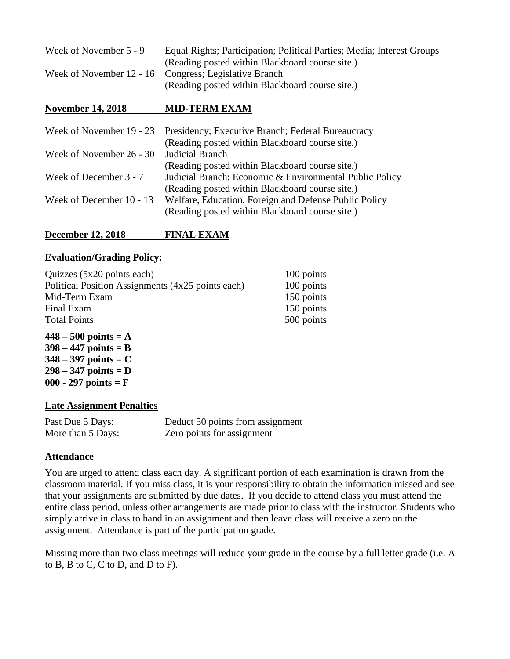| Week of November 5 - 9 | Equal Rights; Participation; Political Parties; Media; Interest Groups |
|------------------------|------------------------------------------------------------------------|
|                        | (Reading posted within Blackboard course site.)                        |
|                        | Week of November 12 - 16 Congress; Legislative Branch                  |
|                        | (Reading posted within Blackboard course site.)                        |

#### **November 14, 2018 MID-TERM EXAM**

|                          | Week of November 19 - 23 Presidency; Executive Branch; Federal Bureaucracy |
|--------------------------|----------------------------------------------------------------------------|
|                          | (Reading posted within Blackboard course site.)                            |
| Week of November 26 - 30 | <b>Judicial Branch</b>                                                     |
|                          | (Reading posted within Blackboard course site.)                            |
| Week of December 3 - 7   | Judicial Branch; Economic & Environmental Public Policy                    |
|                          | (Reading posted within Blackboard course site.)                            |
| Week of December 10 - 13 | Welfare, Education, Foreign and Defense Public Policy                      |
|                          | (Reading posted within Blackboard course site.)                            |

### **December 12, 2018 FINAL EXAM**

#### **Evaluation/Grading Policy:**

| Quizzes (5x20 points each)                        | 100 points |
|---------------------------------------------------|------------|
| Political Position Assignments (4x25 points each) | 100 points |
| Mid-Term Exam                                     | 150 points |
| Final Exam                                        | 150 points |
| <b>Total Points</b>                               | 500 points |
|                                                   |            |

**448 – 500 points = A 398 – 447 points = B 348 – 397 points = C 298 – 347 points = D 000 - 297 points = F**

#### **Late Assignment Penalties**

| Past Due 5 Days:  | Deduct 50 points from assignment |
|-------------------|----------------------------------|
| More than 5 Days: | Zero points for assignment       |

### **Attendance**

You are urged to attend class each day. A significant portion of each examination is drawn from the classroom material. If you miss class, it is your responsibility to obtain the information missed and see that your assignments are submitted by due dates. If you decide to attend class you must attend the entire class period, unless other arrangements are made prior to class with the instructor. Students who simply arrive in class to hand in an assignment and then leave class will receive a zero on the assignment. Attendance is part of the participation grade.

Missing more than two class meetings will reduce your grade in the course by a full letter grade (i.e. A to B, B to C, C to D, and D to F).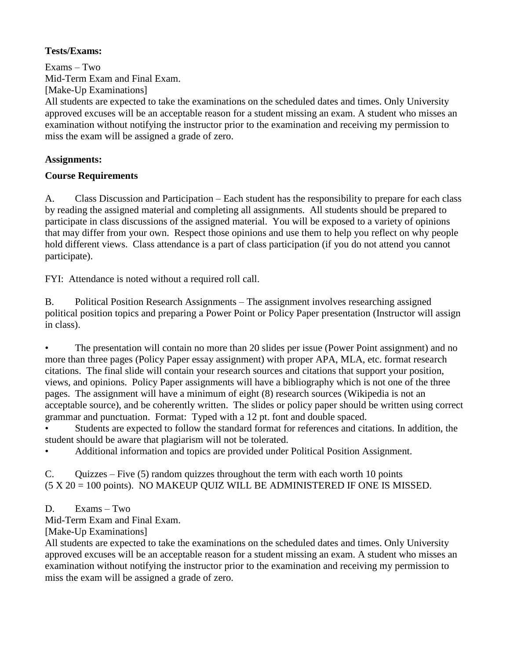## **Tests/Exams:**

Exams – Two Mid-Term Exam and Final Exam. [Make-Up Examinations] All students are expected to take the examinations on the scheduled dates and times. Only University approved excuses will be an acceptable reason for a student missing an exam. A student who misses an examination without notifying the instructor prior to the examination and receiving my permission to miss the exam will be assigned a grade of zero.

## **Assignments:**

# **Course Requirements**

A. Class Discussion and Participation – Each student has the responsibility to prepare for each class by reading the assigned material and completing all assignments. All students should be prepared to participate in class discussions of the assigned material. You will be exposed to a variety of opinions that may differ from your own. Respect those opinions and use them to help you reflect on why people hold different views. Class attendance is a part of class participation (if you do not attend you cannot participate).

FYI: Attendance is noted without a required roll call.

B. Political Position Research Assignments – The assignment involves researching assigned political position topics and preparing a Power Point or Policy Paper presentation (Instructor will assign in class).

• The presentation will contain no more than 20 slides per issue (Power Point assignment) and no more than three pages (Policy Paper essay assignment) with proper APA, MLA, etc. format research citations. The final slide will contain your research sources and citations that support your position, views, and opinions. Policy Paper assignments will have a bibliography which is not one of the three pages. The assignment will have a minimum of eight (8) research sources (Wikipedia is not an acceptable source), and be coherently written. The slides or policy paper should be written using correct grammar and punctuation. Format: Typed with a 12 pt. font and double spaced.

• Students are expected to follow the standard format for references and citations. In addition, the student should be aware that plagiarism will not be tolerated.

• Additional information and topics are provided under Political Position Assignment.

C. Quizzes – Five (5) random quizzes throughout the term with each worth 10 points (5 X 20 = 100 points). NO MAKEUP QUIZ WILL BE ADMINISTERED IF ONE IS MISSED.

# D. Exams – Two

Mid-Term Exam and Final Exam.

[Make-Up Examinations]

All students are expected to take the examinations on the scheduled dates and times. Only University approved excuses will be an acceptable reason for a student missing an exam. A student who misses an examination without notifying the instructor prior to the examination and receiving my permission to miss the exam will be assigned a grade of zero.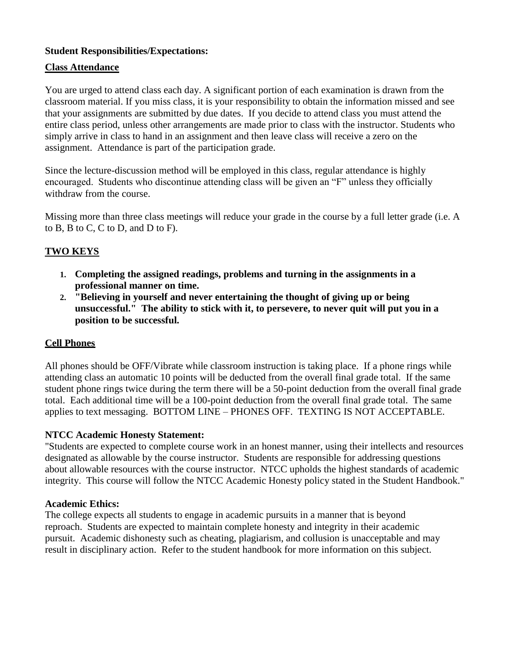## **Student Responsibilities/Expectations:**

## **Class Attendance**

You are urged to attend class each day. A significant portion of each examination is drawn from the classroom material. If you miss class, it is your responsibility to obtain the information missed and see that your assignments are submitted by due dates. If you decide to attend class you must attend the entire class period, unless other arrangements are made prior to class with the instructor. Students who simply arrive in class to hand in an assignment and then leave class will receive a zero on the assignment. Attendance is part of the participation grade.

Since the lecture-discussion method will be employed in this class, regular attendance is highly encouraged. Students who discontinue attending class will be given an "F" unless they officially withdraw from the course.

Missing more than three class meetings will reduce your grade in the course by a full letter grade (i.e. A to B, B to C, C to D, and D to F).

# **TWO KEYS**

- **1. Completing the assigned readings, problems and turning in the assignments in a professional manner on time.**
- **2. "Believing in yourself and never entertaining the thought of giving up or being unsuccessful." The ability to stick with it, to persevere, to never quit will put you in a position to be successful.**

### **Cell Phones**

All phones should be OFF/Vibrate while classroom instruction is taking place. If a phone rings while attending class an automatic 10 points will be deducted from the overall final grade total. If the same student phone rings twice during the term there will be a 50-point deduction from the overall final grade total. Each additional time will be a 100-point deduction from the overall final grade total. The same applies to text messaging. BOTTOM LINE – PHONES OFF. TEXTING IS NOT ACCEPTABLE.

### **NTCC Academic Honesty Statement:**

"Students are expected to complete course work in an honest manner, using their intellects and resources designated as allowable by the course instructor. Students are responsible for addressing questions about allowable resources with the course instructor. NTCC upholds the highest standards of academic integrity. This course will follow the NTCC Academic Honesty policy stated in the Student Handbook."

### **Academic Ethics:**

The college expects all students to engage in academic pursuits in a manner that is beyond reproach. Students are expected to maintain complete honesty and integrity in their academic pursuit. Academic dishonesty such as cheating, plagiarism, and collusion is unacceptable and may result in disciplinary action. Refer to the student handbook for more information on this subject.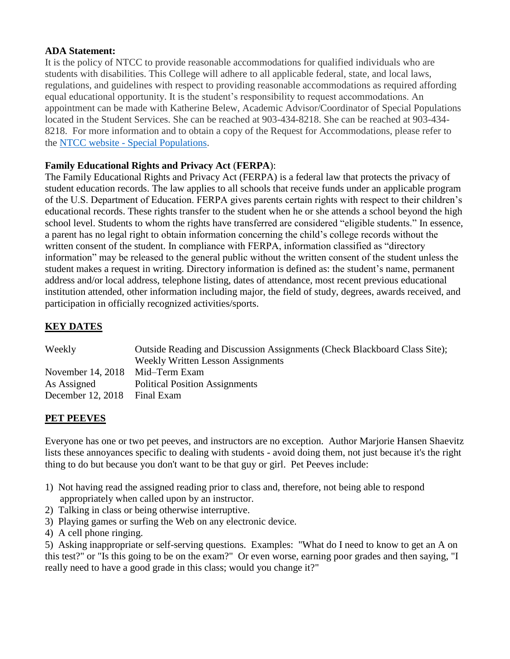### **ADA Statement:**

It is the policy of NTCC to provide reasonable accommodations for qualified individuals who are students with disabilities. This College will adhere to all applicable federal, state, and local laws, regulations, and guidelines with respect to providing reasonable accommodations as required affording equal educational opportunity. It is the student's responsibility to request accommodations. An appointment can be made with Katherine Belew, Academic Advisor/Coordinator of Special Populations located in the Student Services. She can be reached at 903-434-8218. She can be reached at 903-434- 8218. For more information and to obtain a copy of the Request for Accommodations, please refer to the NTCC website - [Special Populations.](http://www.ntcc.edu/index.php?module=Pagesetter&func=viewpub&tid=111&pid=1)

### **Family Educational Rights and Privacy Act** (**FERPA**):

The Family Educational Rights and Privacy Act (FERPA) is a federal law that protects the privacy of student education records. The law applies to all schools that receive funds under an applicable program of the U.S. Department of Education. FERPA gives parents certain rights with respect to their children's educational records. These rights transfer to the student when he or she attends a school beyond the high school level. Students to whom the rights have transferred are considered "eligible students." In essence, a parent has no legal right to obtain information concerning the child's college records without the written consent of the student. In compliance with FERPA, information classified as "directory information" may be released to the general public without the written consent of the student unless the student makes a request in writing. Directory information is defined as: the student's name, permanent address and/or local address, telephone listing, dates of attendance, most recent previous educational institution attended, other information including major, the field of study, degrees, awards received, and participation in officially recognized activities/sports.

## **KEY DATES**

| Weekly            | Outside Reading and Discussion Assignments (Check Blackboard Class Site);<br><b>Weekly Written Lesson Assignments</b> |
|-------------------|-----------------------------------------------------------------------------------------------------------------------|
|                   |                                                                                                                       |
| November 14, 2018 | Mid-Term Exam                                                                                                         |
| As Assigned       | <b>Political Position Assignments</b>                                                                                 |
| December 12, 2018 | Final Exam                                                                                                            |

### **PET PEEVES**

Everyone has one or two pet peeves, and instructors are no exception. Author Marjorie Hansen Shaevitz lists these annoyances specific to dealing with students - avoid doing them, not just because it's the right thing to do but because you don't want to be that guy or girl. Pet Peeves include:

- 1) Not having read the assigned reading prior to class and, therefore, not being able to respond appropriately when called upon by an instructor.
- 2) Talking in class or being otherwise interruptive.
- 3) Playing games or surfing the Web on any electronic device.
- 4) A cell phone ringing.

5) Asking inappropriate or self-serving questions. Examples: "What do I need to know to get an A on this test?" or "Is this going to be on the exam?" Or even worse, earning poor grades and then saying, "I really need to have a good grade in this class; would you change it?"